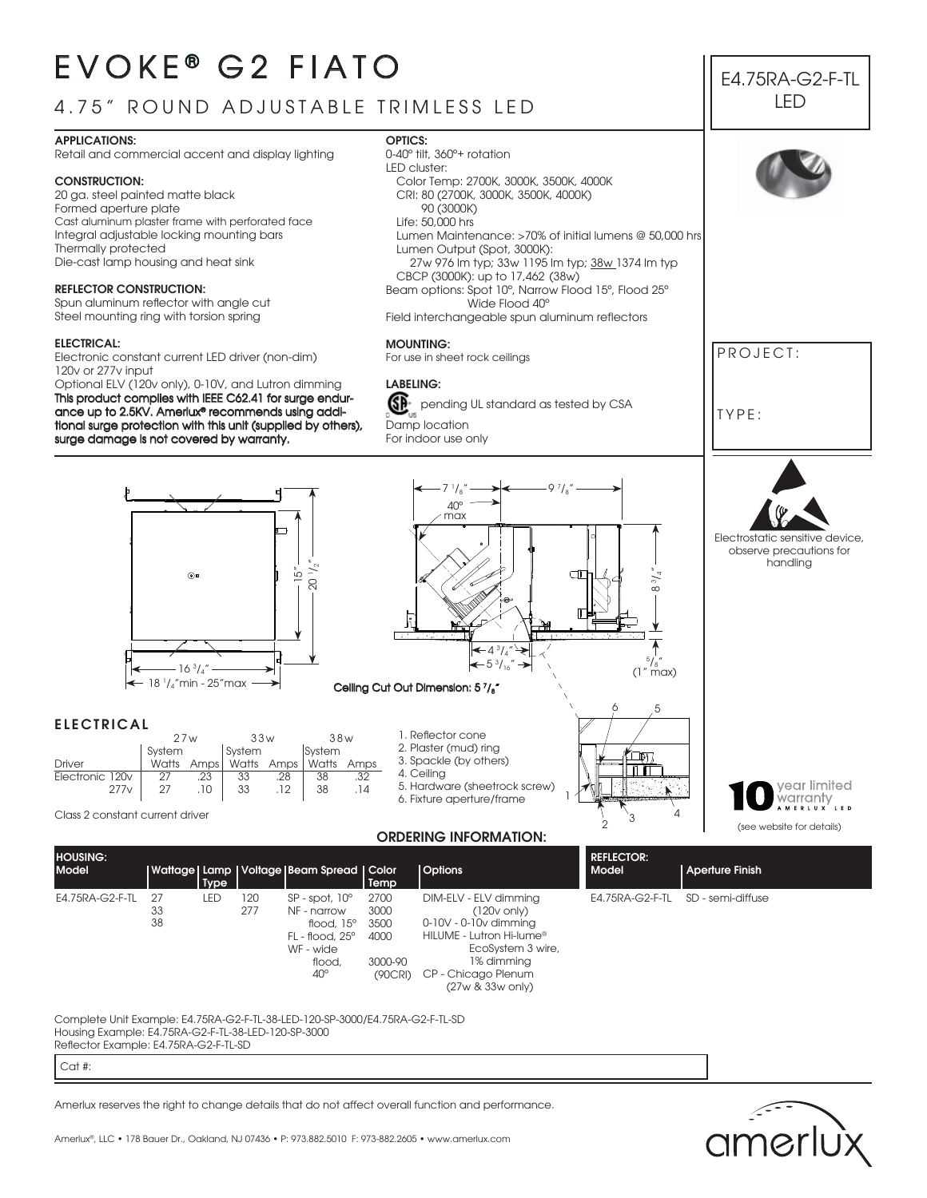# EVOKE<sup>®</sup> G<sub>2</sub> FIATO

## 4.75" ROUND ADJUSTABLE TRIMLESS LED

#### **APPLICATIONS:**

Retail and commercial accent and display lighting

#### **CONSTRUCTION:**

20 ga. steel painted matte black Formed aperture plate Cast aluminum plaster frame with perforated face Integral adjustable locking mounting bars Thermally protected Die-cast lamp housing and heat sink

#### **REFLECTOR CONSTRUCTION:**

Spun aluminum reflector with angle cut Steel mounting ring with torsion spring

#### **ELECTRICAL:**

**ELECTRICAL**

Electronic constant current LED driver (non-dim) 120v or 277v input

Optional ELV (120v only), 0-10V, and Lutron dimming This product complies with IEEE C62.41 for surge endurance up to 2.5KV. Amerlux® recommends using additional surge protection with this unit (supplied by others), surge damage is not covered by warranty.

#### **OPTICS:**





#### **ORDERING INFORMATION:**

| <b>HOUSING:</b><br><b>Model</b> |                | Type       |            | Wattage   Lamp   Voltage   Beam Spread   Color                                                       | Temp                         | <b>Options</b>                                                                                                             | <b>REFLECTOR:</b><br>Model | <b>Aperture Finish</b> |
|---------------------------------|----------------|------------|------------|------------------------------------------------------------------------------------------------------|------------------------------|----------------------------------------------------------------------------------------------------------------------------|----------------------------|------------------------|
| E4.75RA-G2-F-TL                 | 27<br>33<br>38 | <b>LED</b> | 120<br>277 | $SP - spot. 10^{\circ}$<br>NF - narrow<br>flood, $15^\circ$<br>$FL - flood. 25^{\circ}$<br>WF - wide | 2700<br>3000<br>3500<br>4000 | DIM-ELV - ELV dimming<br>$(120v \text{ only})$<br>$0-10V - 0-10V$ dimming<br>HILUME - Lutron Hi-lume®<br>EcoSystem 3 wire, | E4.75RA-G2-F-TL            | SD - semi-diffuse      |
|                                 |                |            |            | flood.                                                                                               | 3000-90                      | 1% dimmina                                                                                                                 |                            |                        |

CP - Chicago Plenum (27w & 33w only)

Complete Unit Example: E4.75RA-G2-F-TL-38-LED-120-SP-3000/E4.75RA-G2-F-TL-SD Housing Example: E4.75RA-G2-F-TL-38-LED-120-SP-3000 Reflector Example: E4.75RA-G2-F-TL-SD

Cat #:

Amerlux reserves the right to change details that do not affect overall function and performance.

40º

(90CRI)



E4.75RA-G2-F-TL LED